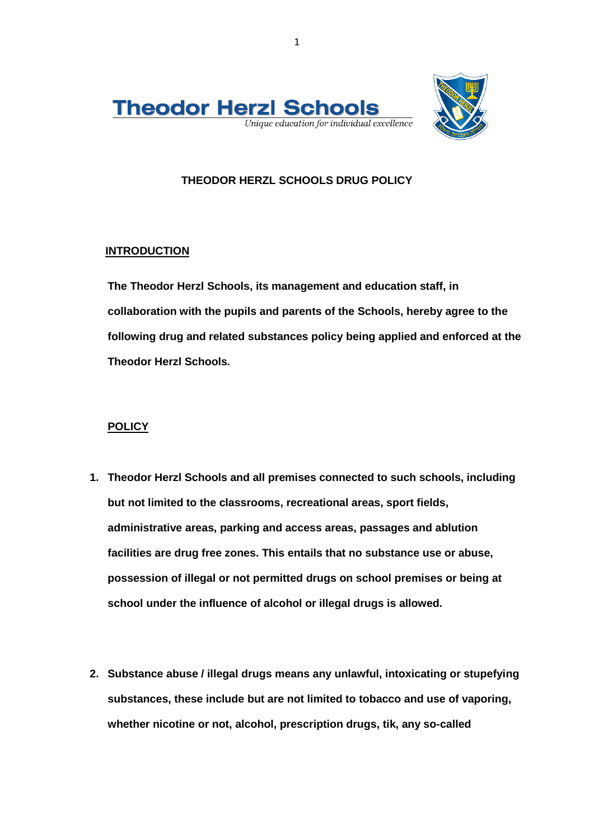

## **THEODOR HERZL SCHOOLS DRUG POLICY**

## **INTRODUCTION**

**The Theodor Herzl Schools, its management and education staff, in collaboration with the pupils and parents of the Schools, hereby agree to the following drug and related substances policy being applied and enforced at the Theodor Herzl Schools.**

## **POLICY**

- **1. Theodor Herzl Schools and all premises connected to such schools, including but not limited to the classrooms, recreational areas, sport fields, administrative areas, parking and access areas, passages and ablution facilities are drug free zones. This entails that no substance use or abuse, possession of illegal or not permitted drugs on school premises or being at school under the influence of alcohol or illegal drugs is allowed.**
- **2. Substance abuse / illegal drugs means any unlawful, intoxicating or stupefying substances, these include but are not limited to tobacco and use of vaporing, whether nicotine or not, alcohol, prescription drugs, tik, any so-called**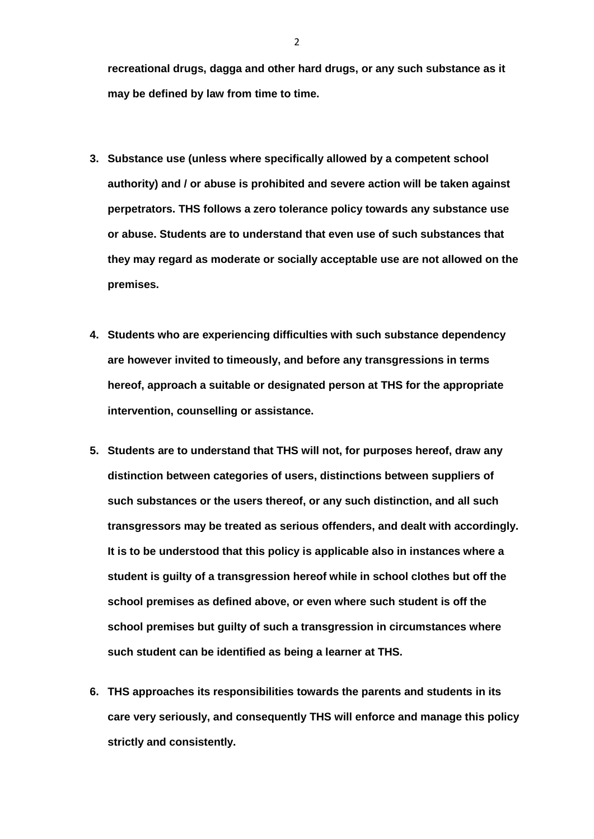**recreational drugs, dagga and other hard drugs, or any such substance as it may be defined by law from time to time.**

- **3. Substance use (unless where specifically allowed by a competent school authority) and / or abuse is prohibited and severe action will be taken against perpetrators. THS follows a zero tolerance policy towards any substance use or abuse. Students are to understand that even use of such substances that they may regard as moderate or socially acceptable use are not allowed on the premises.**
- **4. Students who are experiencing difficulties with such substance dependency are however invited to timeously, and before any transgressions in terms hereof, approach a suitable or designated person at THS for the appropriate intervention, counselling or assistance.**
- **5. Students are to understand that THS will not, for purposes hereof, draw any distinction between categories of users, distinctions between suppliers of such substances or the users thereof, or any such distinction, and all such transgressors may be treated as serious offenders, and dealt with accordingly. It is to be understood that this policy is applicable also in instances where a student is guilty of a transgression hereof while in school clothes but off the school premises as defined above, or even where such student is off the school premises but guilty of such a transgression in circumstances where such student can be identified as being a learner at THS.**
- **6. THS approaches its responsibilities towards the parents and students in its care very seriously, and consequently THS will enforce and manage this policy strictly and consistently.**

2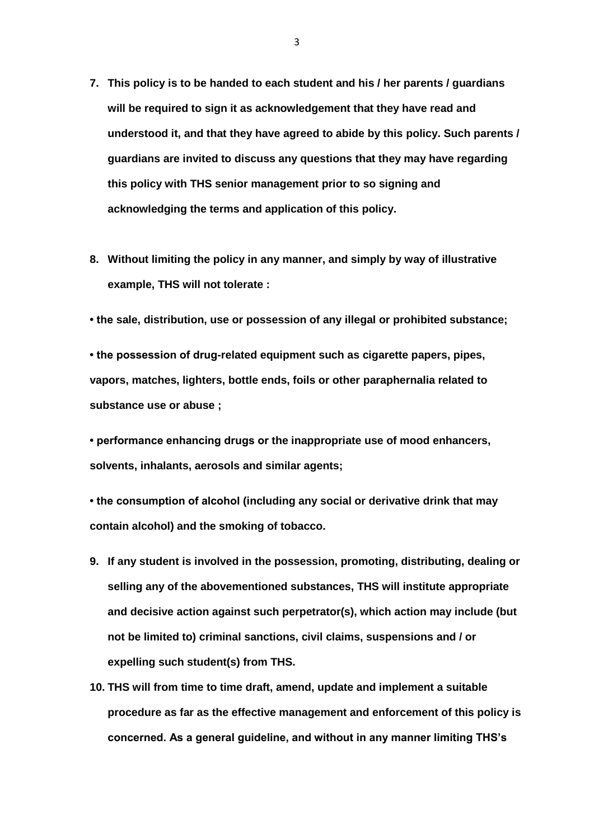- **7. This policy is to be handed to each student and his / her parents / guardians will be required to sign it as acknowledgement that they have read and understood it, and that they have agreed to abide by this policy. Such parents / guardians are invited to discuss any questions that they may have regarding this policy with THS senior management prior to so signing and acknowledging the terms and application of this policy.**
- **8. Without limiting the policy in any manner, and simply by way of illustrative example, THS will not tolerate :**
- **the sale, distribution, use or possession of any illegal or prohibited substance;**

**• the possession of drug-related equipment such as cigarette papers, pipes, vapors, matches, lighters, bottle ends, foils or other paraphernalia related to substance use or abuse ;**

**• performance enhancing drugs or the inappropriate use of mood enhancers, solvents, inhalants, aerosols and similar agents;**

**• the consumption of alcohol (including any social or derivative drink that may contain alcohol) and the smoking of tobacco.**

- **9. If any student is involved in the possession, promoting, distributing, dealing or selling any of the abovementioned substances, THS will institute appropriate and decisive action against such perpetrator(s), which action may include (but not be limited to) criminal sanctions, civil claims, suspensions and / or expelling such student(s) from THS.**
- **10. THS will from time to time draft, amend, update and implement a suitable procedure as far as the effective management and enforcement of this policy is concerned. As a general guideline, and without in any manner limiting THS's**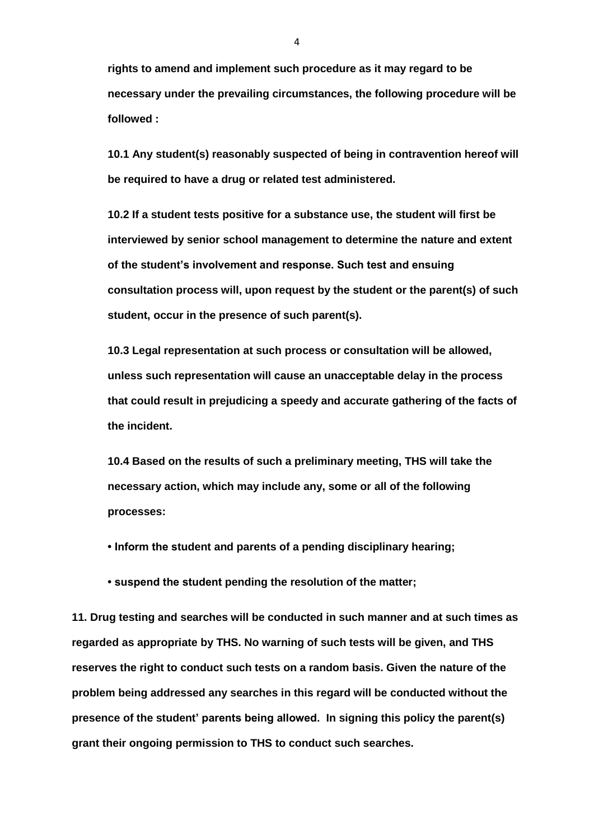**rights to amend and implement such procedure as it may regard to be necessary under the prevailing circumstances, the following procedure will be followed :** 

**10.1 Any student(s) reasonably suspected of being in contravention hereof will be required to have a drug or related test administered.**

**10.2 If a student tests positive for a substance use, the student will first be interviewed by senior school management to determine the nature and extent of the student's involvement and response. Such test and ensuing consultation process will, upon request by the student or the parent(s) of such student, occur in the presence of such parent(s).** 

**10.3 Legal representation at such process or consultation will be allowed, unless such representation will cause an unacceptable delay in the process that could result in prejudicing a speedy and accurate gathering of the facts of the incident.** 

**10.4 Based on the results of such a preliminary meeting, THS will take the necessary action, which may include any, some or all of the following processes:**

**• Inform the student and parents of a pending disciplinary hearing;**

**• suspend the student pending the resolution of the matter;**

**11. Drug testing and searches will be conducted in such manner and at such times as regarded as appropriate by THS. No warning of such tests will be given, and THS reserves the right to conduct such tests on a random basis. Given the nature of the problem being addressed any searches in this regard will be conducted without the presence of the student' parents being allowed. In signing this policy the parent(s) grant their ongoing permission to THS to conduct such searches.**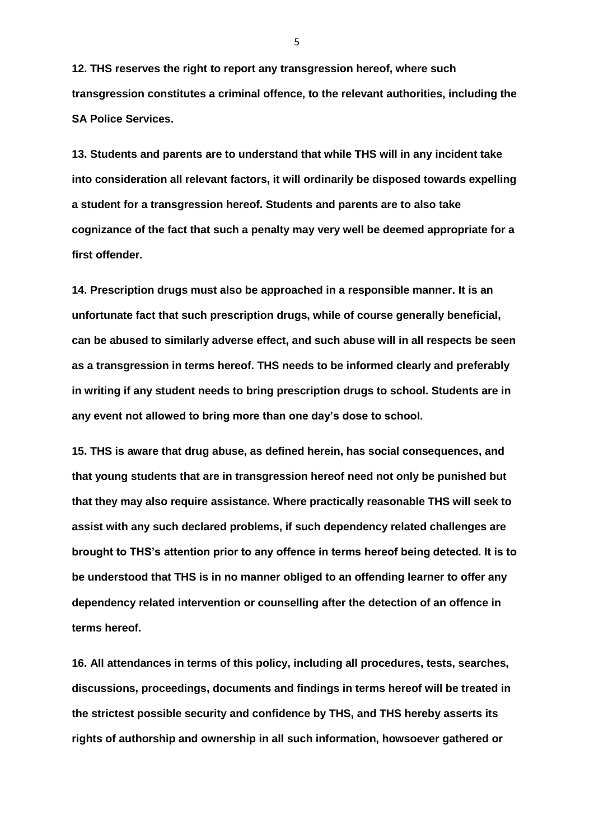**12. THS reserves the right to report any transgression hereof, where such transgression constitutes a criminal offence, to the relevant authorities, including the SA Police Services.** 

**13. Students and parents are to understand that while THS will in any incident take into consideration all relevant factors, it will ordinarily be disposed towards expelling a student for a transgression hereof. Students and parents are to also take cognizance of the fact that such a penalty may very well be deemed appropriate for a first offender.** 

**14. Prescription drugs must also be approached in a responsible manner. It is an unfortunate fact that such prescription drugs, while of course generally beneficial, can be abused to similarly adverse effect, and such abuse will in all respects be seen as a transgression in terms hereof. THS needs to be informed clearly and preferably in writing if any student needs to bring prescription drugs to school. Students are in any event not allowed to bring more than one day's dose to school.**

**15. THS is aware that drug abuse, as defined herein, has social consequences, and that young students that are in transgression hereof need not only be punished but that they may also require assistance. Where practically reasonable THS will seek to assist with any such declared problems, if such dependency related challenges are brought to THS's attention prior to any offence in terms hereof being detected. It is to be understood that THS is in no manner obliged to an offending learner to offer any dependency related intervention or counselling after the detection of an offence in terms hereof.** 

**16. All attendances in terms of this policy, including all procedures, tests, searches, discussions, proceedings, documents and findings in terms hereof will be treated in the strictest possible security and confidence by THS, and THS hereby asserts its rights of authorship and ownership in all such information, howsoever gathered or** 

5